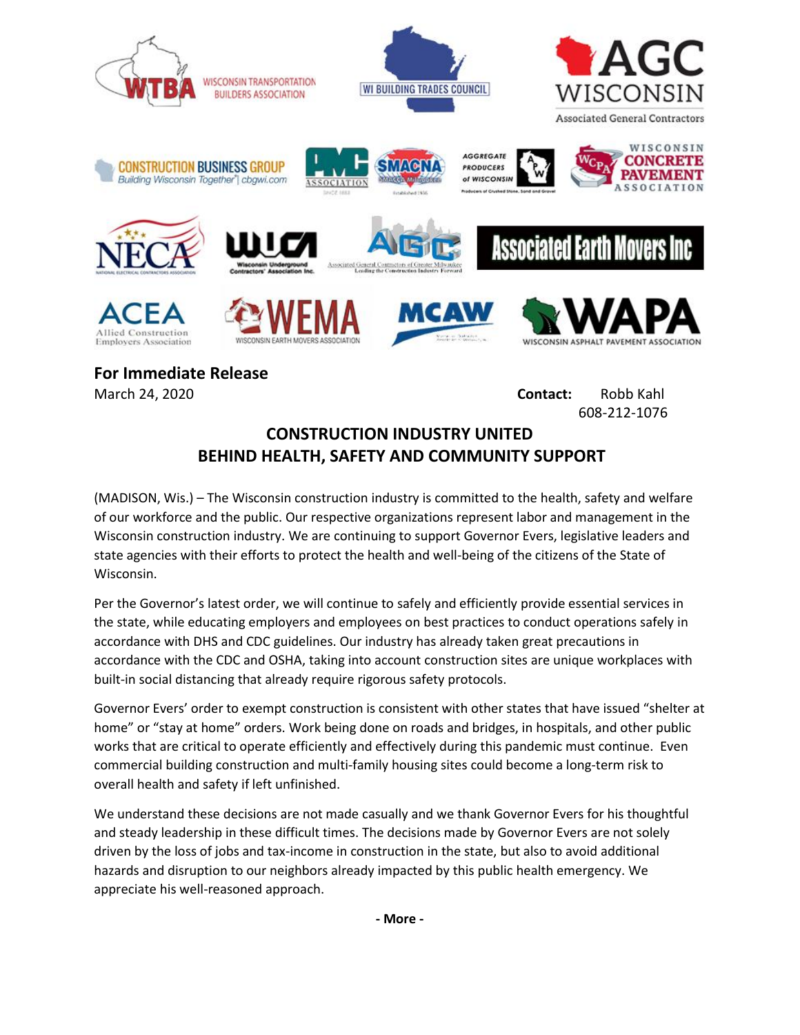

**For Immediate Release** March 24, 2020 **Contact:** Robb Kahl

608-212-1076

## **CONSTRUCTION INDUSTRY UNITED BEHIND HEALTH, SAFETY AND COMMUNITY SUPPORT**

(MADISON, Wis.) – The Wisconsin construction industry is committed to the health, safety and welfare of our workforce and the public. Our respective organizations represent labor and management in the Wisconsin construction industry. We are continuing to support Governor Evers, legislative leaders and state agencies with their efforts to protect the health and well-being of the citizens of the State of Wisconsin.

Per the Governor's latest order, we will continue to safely and efficiently provide essential services in the state, while educating employers and employees on best practices to conduct operations safely in accordance with DHS and CDC guidelines. Our industry has already taken great precautions in accordance with the CDC and OSHA, taking into account construction sites are unique workplaces with built-in social distancing that already require rigorous safety protocols.

Governor Evers' order to exempt construction is consistent with other states that have issued "shelter at home" or "stay at home" orders. Work being done on roads and bridges, in hospitals, and other public works that are critical to operate efficiently and effectively during this pandemic must continue. Even commercial building construction and multi-family housing sites could become a long-term risk to overall health and safety if left unfinished.

We understand these decisions are not made casually and we thank Governor Evers for his thoughtful and steady leadership in these difficult times. The decisions made by Governor Evers are not solely driven by the loss of jobs and tax-income in construction in the state, but also to avoid additional hazards and disruption to our neighbors already impacted by this public health emergency. We appreciate his well-reasoned approach.

**- More -**